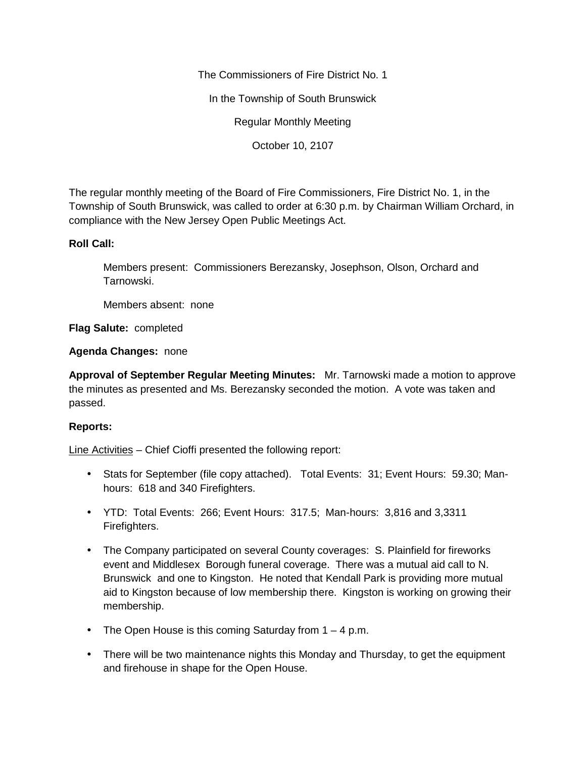The Commissioners of Fire District No. 1

In the Township of South Brunswick

Regular Monthly Meeting

October 10, 2107

The regular monthly meeting of the Board of Fire Commissioners, Fire District No. 1, in the Township of South Brunswick, was called to order at 6:30 p.m. by Chairman William Orchard, in compliance with the New Jersey Open Public Meetings Act.

## **Roll Call:**

Members present: Commissioners Berezansky, Josephson, Olson, Orchard and Tarnowski.

Members absent: none

**Flag Salute:** completed

**Agenda Changes:** none

**Approval of September Regular Meeting Minutes:** Mr. Tarnowski made a motion to approve the minutes as presented and Ms. Berezansky seconded the motion. A vote was taken and passed.

## **Reports:**

Line Activities – Chief Cioffi presented the following report:

- Stats for September (file copy attached). Total Events: 31; Event Hours: 59.30; Manhours: 618 and 340 Firefighters.
- YTD: Total Events: 266; Event Hours: 317.5; Man-hours: 3,816 and 3,3311 Firefighters.
- The Company participated on several County coverages: S. Plainfield for fireworks event and Middlesex Borough funeral coverage. There was a mutual aid call to N. Brunswick and one to Kingston. He noted that Kendall Park is providing more mutual aid to Kingston because of low membership there. Kingston is working on growing their membership.
- The Open House is this coming Saturday from  $1 4$  p.m.
- There will be two maintenance nights this Monday and Thursday, to get the equipment and firehouse in shape for the Open House.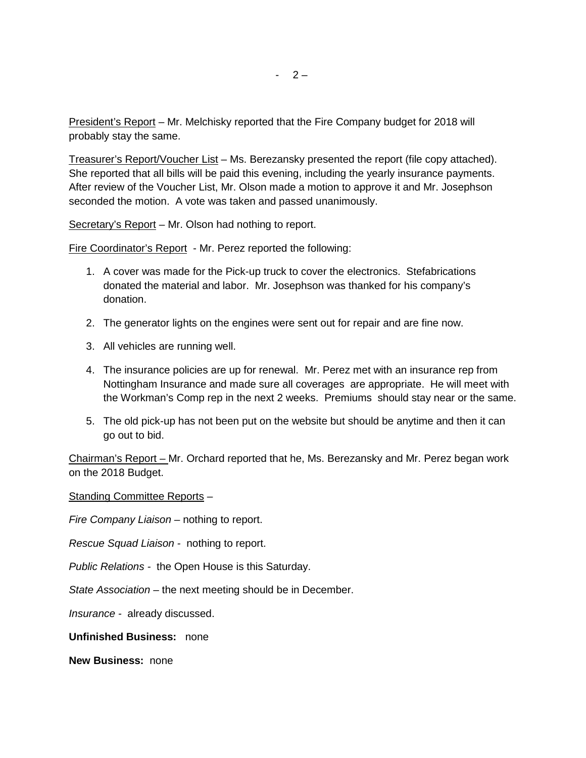President's Report – Mr. Melchisky reported that the Fire Company budget for 2018 will probably stay the same.

Treasurer's Report/Voucher List – Ms. Berezansky presented the report (file copy attached). She reported that all bills will be paid this evening, including the yearly insurance payments. After review of the Voucher List, Mr. Olson made a motion to approve it and Mr. Josephson seconded the motion. A vote was taken and passed unanimously.

Secretary's Report – Mr. Olson had nothing to report.

Fire Coordinator's Report - Mr. Perez reported the following:

- 1. A cover was made for the Pick-up truck to cover the electronics. Stefabrications donated the material and labor. Mr. Josephson was thanked for his company's donation.
- 2. The generator lights on the engines were sent out for repair and are fine now.
- 3. All vehicles are running well.
- 4. The insurance policies are up for renewal. Mr. Perez met with an insurance rep from Nottingham Insurance and made sure all coverages are appropriate. He will meet with the Workman's Comp rep in the next 2 weeks. Premiums should stay near or the same.
- 5. The old pick-up has not been put on the website but should be anytime and then it can go out to bid.

Chairman's Report – Mr. Orchard reported that he, Ms. Berezansky and Mr. Perez began work on the 2018 Budget.

Standing Committee Reports –

*Fire Company Liaison –* nothing to report.

*Rescue Squad Liaison -* nothing to report.

*Public Relations -* the Open House is this Saturday.

*State Association –* the next meeting should be in December.

*Insurance -* already discussed.

**Unfinished Business:** none

**New Business:** none